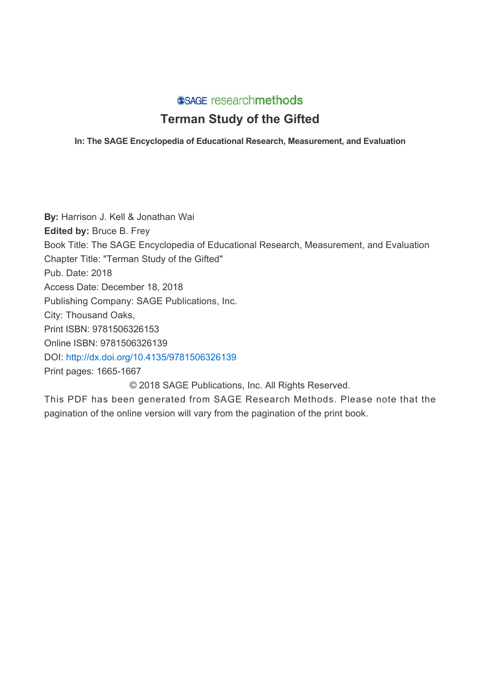## SSAGE researchmethods

# **Terman Study of the Gifted**

## **In: The SAGE Encyclopedia of Educational Research, Measurement, and Evaluation**

**By:** Harrison J. Kell & Jonathan Wai **Edited by:** Bruce B. Frey Book Title: The SAGE Encyclopedia of Educational Research, Measurement, and Evaluation Chapter Title: "Terman Study of the Gifted" Pub. Date: 2018 Access Date: December 18, 2018 Publishing Company: SAGE Publications, Inc. City: Thousand Oaks, Print ISBN: 9781506326153 Online ISBN: 9781506326139 DOI: <http://dx.doi.org/10.4135/9781506326139> Print pages: 1665-1667 © 2018 SAGE Publications, Inc. All Rights Reserved.

This PDF has been generated from SAGE Research Methods. Please note that the pagination of the online version will vary from the pagination of the print book.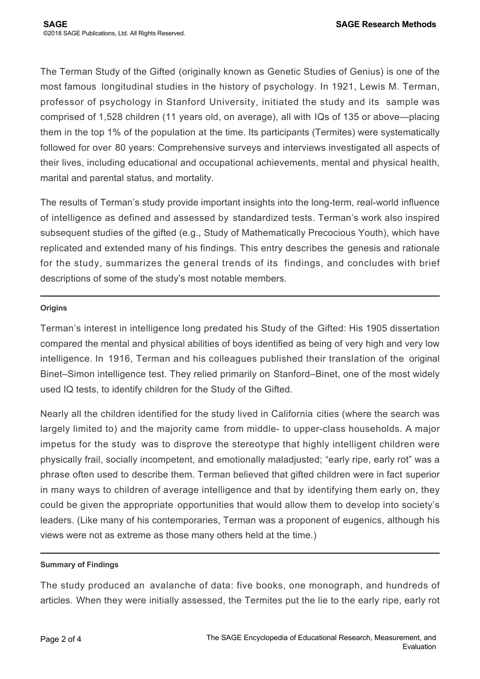The Terman Study of the Gifted (originally known as Genetic Studies of Genius) is one of the most famous longitudinal studies in the history of psychology. In 1921, Lewis M. Terman, professor of psychology in Stanford University, initiated the study and its sample was comprised of 1,528 children (11 years old, on average), all with IQs of 135 or above—placing them in the top 1% of the population at the time. Its participants (Termites) were systematically followed for over 80 years: Comprehensive surveys and interviews investigated all aspects of their lives, including educational and occupational achievements, mental and physical health, marital and parental status, and mortality.

The results of Terman's study provide important insights into the long-term, real-world influence of intelligence as defined and assessed by standardized tests. Terman's work also inspired subsequent studies of the gifted (e.g., Study of Mathematically Precocious Youth), which have replicated and extended many of his findings. This entry describes the genesis and rationale for the study, summarizes the general trends of its findings, and concludes with brief descriptions of some of the study's most notable members.

#### **Origins**

Terman's interest in intelligence long predated his Study of the Gifted: His 1905 dissertation compared the mental and physical abilities of boys identified as being of very high and very low intelligence. In 1916, Terman and his colleagues published their translation of the original Binet–Simon intelligence test. They relied primarily on Stanford–Binet, one of the most widely used IQ tests, to identify children for the Study of the Gifted.

Nearly all the children identified for the study lived in California cities (where the search was largely limited to) and the majority came from middle- to upper-class households. A major impetus for the study was to disprove the stereotype that highly intelligent children were physically frail, socially incompetent, and emotionally maladjusted; "early ripe, early rot" was a phrase often used to describe them. Terman believed that gifted children were in fact superior in many ways to children of average intelligence and that by identifying them early on, they could be given the appropriate opportunities that would allow them to develop into society's leaders. (Like many of his contemporaries, Terman was a proponent of eugenics, although his views were not as extreme as those many others held at the time.)

#### **Summary of Findings**

The study produced an avalanche of data: five books, one monograph, and hundreds of articles. When they were initially assessed, the Termites put the lie to the early ripe, early rot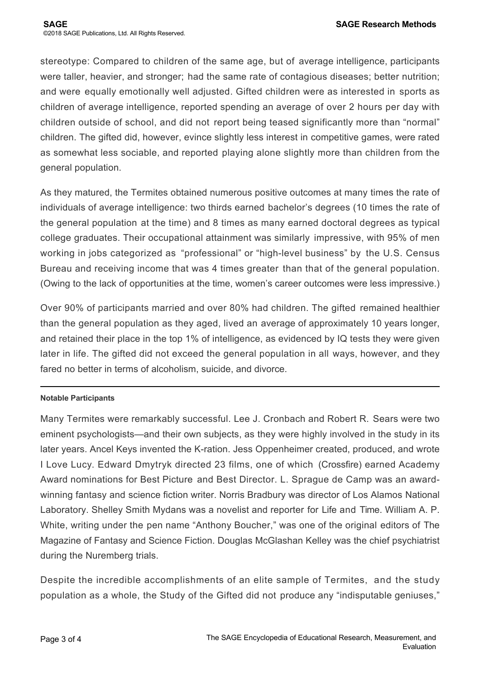stereotype: Compared to children of the same age, but of average intelligence, participants were taller, heavier, and stronger; had the same rate of contagious diseases; better nutrition; and were equally emotionally well adjusted. Gifted children were as interested in sports as children of average intelligence, reported spending an average of over 2 hours per day with children outside of school, and did not report being teased significantly more than "normal" children. The gifted did, however, evince slightly less interest in competitive games, were rated as somewhat less sociable, and reported playing alone slightly more than children from the general population.

As they matured, the Termites obtained numerous positive outcomes at many times the rate of individuals of average intelligence: two thirds earned bachelor's degrees (10 times the rate of the general population at the time) and 8 times as many earned doctoral degrees as typical college graduates. Their occupational attainment was similarly impressive, with 95% of men working in jobs categorized as "professional" or "high-level business" by the U.S. Census Bureau and receiving income that was 4 times greater than that of the general population. (Owing to the lack of opportunities at the time, women's career outcomes were less impressive.)

Over 90% of participants married and over 80% had children. The gifted remained healthier than the general population as they aged, lived an average of approximately 10 years longer, and retained their place in the top 1% of intelligence, as evidenced by IQ tests they were given later in life. The gifted did not exceed the general population in all ways, however, and they fared no better in terms of alcoholism, suicide, and divorce.

## **Notable Participants**

Many Termites were remarkably successful. Lee J. Cronbach and Robert R. Sears were two eminent psychologists—and their own subjects, as they were highly involved in the study in its later years. Ancel Keys invented the K-ration. Jess Oppenheimer created, produced, and wrote I Love Lucy. Edward Dmytryk directed 23 films, one of which (Crossfire) earned Academy Award nominations for Best Picture and Best Director. L. Sprague de Camp was an awardwinning fantasy and science fiction writer. Norris Bradbury was director of Los Alamos National Laboratory. Shelley Smith Mydans was a novelist and reporter for Life and Time. William A. P. White, writing under the pen name "Anthony Boucher," was one of the original editors of The Magazine of Fantasy and Science Fiction. Douglas McGlashan Kelley was the chief psychiatrist during the Nuremberg trials.

Despite the incredible accomplishments of an elite sample of Termites, and the study population as a whole, the Study of the Gifted did not produce any "indisputable geniuses,"